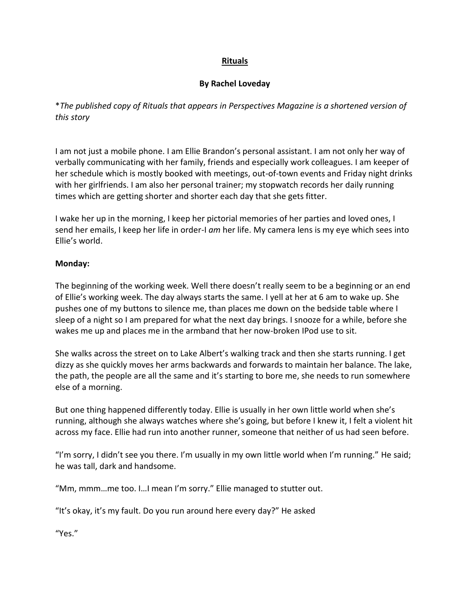# **Rituals**

## **By Rachel Loveday**

\**The published copy of Rituals that appears in Perspectives Magazine is a shortened version of this story*

I am not just a mobile phone. I am Ellie Brandon's personal assistant. I am not only her way of verbally communicating with her family, friends and especially work colleagues. I am keeper of her schedule which is mostly booked with meetings, out-of-town events and Friday night drinks with her girlfriends. I am also her personal trainer; my stopwatch records her daily running times which are getting shorter and shorter each day that she gets fitter.

I wake her up in the morning, I keep her pictorial memories of her parties and loved ones, I send her emails, I keep her life in order-I *am* her life. My camera lens is my eye which sees into Ellie's world.

#### **Monday:**

The beginning of the working week. Well there doesn't really seem to be a beginning or an end of Ellie's working week. The day always starts the same. I yell at her at 6 am to wake up. She pushes one of my buttons to silence me, than places me down on the bedside table where I sleep of a night so I am prepared for what the next day brings. I snooze for a while, before she wakes me up and places me in the armband that her now-broken IPod use to sit.

She walks across the street on to Lake Albert's walking track and then she starts running. I get dizzy as she quickly moves her arms backwards and forwards to maintain her balance. The lake, the path, the people are all the same and it's starting to bore me, she needs to run somewhere else of a morning.

But one thing happened differently today. Ellie is usually in her own little world when she's running, although she always watches where she's going, but before I knew it, I felt a violent hit across my face. Ellie had run into another runner, someone that neither of us had seen before.

"I'm sorry, I didn't see you there. I'm usually in my own little world when I'm running." He said; he was tall, dark and handsome.

"Mm, mmm…me too. I…I mean I'm sorry." Ellie managed to stutter out.

"It's okay, it's my fault. Do you run around here every day?" He asked

"Yes."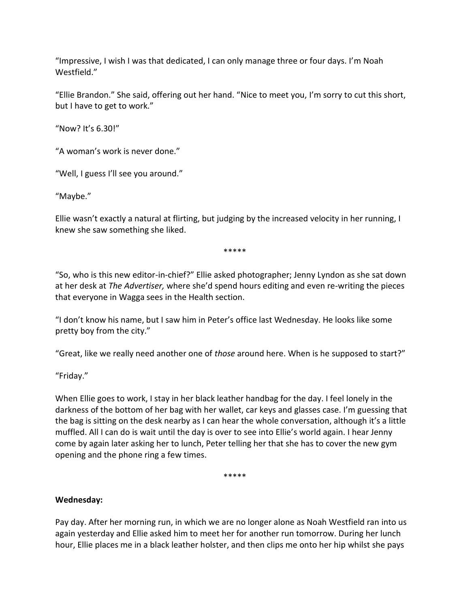"Impressive, I wish I was that dedicated, I can only manage three or four days. I'm Noah Westfield."

"Ellie Brandon." She said, offering out her hand. "Nice to meet you, I'm sorry to cut this short, but I have to get to work."

"Now? It's 6.30!"

"A woman's work is never done."

"Well, I guess I'll see you around."

"Maybe."

Ellie wasn't exactly a natural at flirting, but judging by the increased velocity in her running, I knew she saw something she liked.

\*\*\*\*\*

"So, who is this new editor-in-chief?" Ellie asked photographer; Jenny Lyndon as she sat down at her desk at *The Advertiser,* where she'd spend hours editing and even re-writing the pieces that everyone in Wagga sees in the Health section.

"I don't know his name, but I saw him in Peter's office last Wednesday. He looks like some pretty boy from the city."

"Great, like we really need another one of *those* around here. When is he supposed to start?"

"Friday."

When Ellie goes to work, I stay in her black leather handbag for the day. I feel lonely in the darkness of the bottom of her bag with her wallet, car keys and glasses case. I'm guessing that the bag is sitting on the desk nearby as I can hear the whole conversation, although it's a little muffled. All I can do is wait until the day is over to see into Ellie's world again. I hear Jenny come by again later asking her to lunch, Peter telling her that she has to cover the new gym opening and the phone ring a few times.

\*\*\*\*\*

# **Wednesday:**

Pay day. After her morning run, in which we are no longer alone as Noah Westfield ran into us again yesterday and Ellie asked him to meet her for another run tomorrow. During her lunch hour, Ellie places me in a black leather holster, and then clips me onto her hip whilst she pays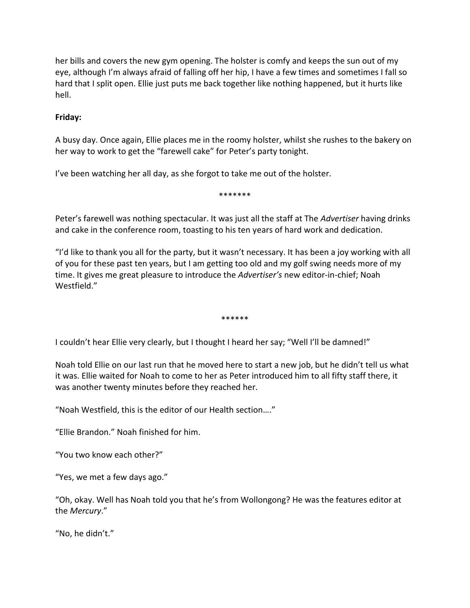her bills and covers the new gym opening. The holster is comfy and keeps the sun out of my eye, although I'm always afraid of falling off her hip, I have a few times and sometimes I fall so hard that I split open. Ellie just puts me back together like nothing happened, but it hurts like hell.

## **Friday:**

A busy day. Once again, Ellie places me in the roomy holster, whilst she rushes to the bakery on her way to work to get the "farewell cake" for Peter's party tonight.

I've been watching her all day, as she forgot to take me out of the holster.

Peter's farewell was nothing spectacular. It was just all the staff at The *Advertiser* having drinks and cake in the conference room, toasting to his ten years of hard work and dedication.

\*\*\*\*\*\*\*

"I'd like to thank you all for the party, but it wasn't necessary. It has been a joy working with all of you for these past ten years, but I am getting too old and my golf swing needs more of my time. It gives me great pleasure to introduce the *Advertiser's* new editor-in-chief; Noah Westfield."

\*\*\*\*\*\*

I couldn't hear Ellie very clearly, but I thought I heard her say; "Well I'll be damned!"

Noah told Ellie on our last run that he moved here to start a new job, but he didn't tell us what it was. Ellie waited for Noah to come to her as Peter introduced him to all fifty staff there, it was another twenty minutes before they reached her.

"Noah Westfield, this is the editor of our Health section…."

"Ellie Brandon." Noah finished for him.

"You two know each other?"

"Yes, we met a few days ago."

"Oh, okay. Well has Noah told you that he's from Wollongong? He was the features editor at the *Mercury*."

"No, he didn't."